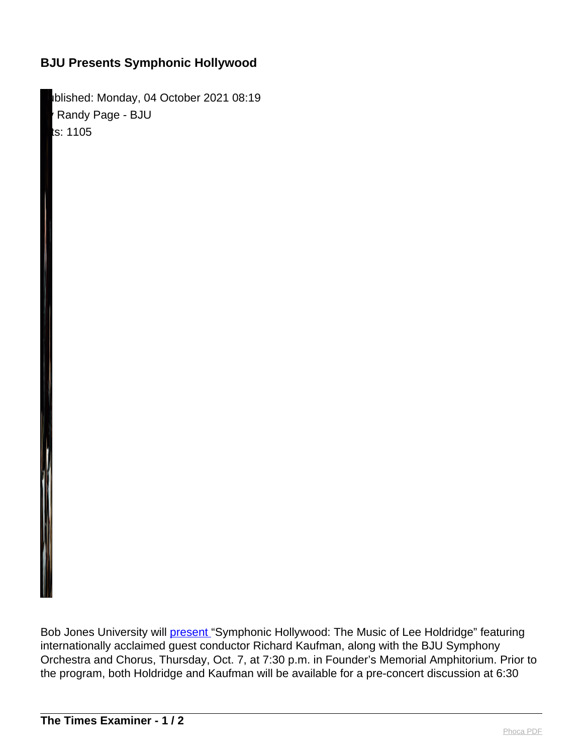## **BJU Presents Symphonic Hollywood**

Iblished: Monday, 04 October 2021 08:19 Randy Page - BJU ts: 1105

Bob Jones University will [present "](http://link.mediaoutreach.meltwater.com/ls/click?upn=OO1AXukWM2mUPgjhB86dCQi6v87z2nBmHJQXyJMqmq97zPkdN9as3gTCAjSOoat2iC1G_EkRkegmYzM7dalXjFusseri6eiG-2BVlQ5D6uTuwPvDirB-2BX-2FFfT5jEhiLzj2JOpMmyEPaKNMqtc8wbgcEmza85aATPi9yq1BY5yA6D8OZO1EKnv19F21GIDhshh2psfCwj0mbbFMqivrKpKlO29r3LUS9lNFzkg37jiwj1YFboQ8MZK-2Fn7fUsEMPctFubTZ-2FA6IZvhZ81kNR6w5EVqQZXJAaFT62nfnYjM6r0mPz2M3TsgotK7617L1jzU3TJBSfm6kZxjYQlVNxhxC6YHthKAJ-2FRDC5NNUL64Hiz-2B-2FfT3-2Fgv0pG4ca8xCYY6K0Y5p59u3z31nWL2exrVBaIZM-2FJXC-2FBUa5qenw14VKDs0LYAFt45TwphrBhZWYQ45sEid2vkJmRjevMtiut8wQYmd-2BN48w-3D-3D)Symphonic Hollywood: The Music of Lee Holdridge" featuring internationally acclaimed guest conductor Richard Kaufman, along with the BJU Symphony Orchestra and Chorus, Thursday, Oct. 7, at 7:30 p.m. in Founder's Memorial Amphitorium. Prior to the program, both Holdridge and Kaufman will be available for a pre-concert discussion at 6:30